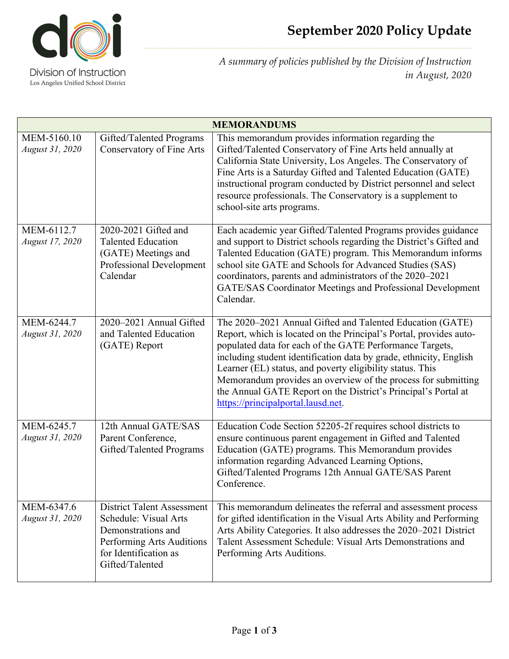

*A summary of policies published by the Division of Instruction in August, 2020*

| <b>MEMORANDUMS</b>             |                                                                                                                                                           |                                                                                                                                                                                                                                                                                                                                                                                                                                                                                                         |  |  |
|--------------------------------|-----------------------------------------------------------------------------------------------------------------------------------------------------------|---------------------------------------------------------------------------------------------------------------------------------------------------------------------------------------------------------------------------------------------------------------------------------------------------------------------------------------------------------------------------------------------------------------------------------------------------------------------------------------------------------|--|--|
| MEM-5160.10<br>August 31, 2020 | Gifted/Talented Programs<br><b>Conservatory of Fine Arts</b>                                                                                              | This memorandum provides information regarding the<br>Gifted/Talented Conservatory of Fine Arts held annually at<br>California State University, Los Angeles. The Conservatory of<br>Fine Arts is a Saturday Gifted and Talented Education (GATE)<br>instructional program conducted by District personnel and select<br>resource professionals. The Conservatory is a supplement to<br>school-site arts programs.                                                                                      |  |  |
| MEM-6112.7<br>August 17, 2020  | 2020-2021 Gifted and<br><b>Talented Education</b><br>(GATE) Meetings and<br><b>Professional Development</b><br>Calendar                                   | Each academic year Gifted/Talented Programs provides guidance<br>and support to District schools regarding the District's Gifted and<br>Talented Education (GATE) program. This Memorandum informs<br>school site GATE and Schools for Advanced Studies (SAS)<br>coordinators, parents and administrators of the 2020-2021<br>GATE/SAS Coordinator Meetings and Professional Development<br>Calendar.                                                                                                   |  |  |
| MEM-6244.7<br>August 31, 2020  | 2020-2021 Annual Gifted<br>and Talented Education<br>(GATE) Report                                                                                        | The 2020–2021 Annual Gifted and Talented Education (GATE)<br>Report, which is located on the Principal's Portal, provides auto-<br>populated data for each of the GATE Performance Targets,<br>including student identification data by grade, ethnicity, English<br>Learner (EL) status, and poverty eligibility status. This<br>Memorandum provides an overview of the process for submitting<br>the Annual GATE Report on the District's Principal's Portal at<br>https://principalportal.lausd.net. |  |  |
| MEM-6245.7<br>August 31, 2020  | 12th Annual GATE/SAS<br>Parent Conference,<br>Gifted/Talented Programs                                                                                    | Education Code Section 52205-2f requires school districts to<br>ensure continuous parent engagement in Gifted and Talented<br>Education (GATE) programs. This Memorandum provides<br>information regarding Advanced Learning Options,<br>Gifted/Talented Programs 12th Annual GATE/SAS Parent<br>Conference.                                                                                                                                                                                            |  |  |
| MEM-6347.6<br>August 31, 2020  | <b>District Talent Assessment</b><br>Schedule: Visual Arts<br>Demonstrations and<br>Performing Arts Auditions<br>for Identification as<br>Gifted/Talented | This memorandum delineates the referral and assessment process<br>for gifted identification in the Visual Arts Ability and Performing<br>Arts Ability Categories. It also addresses the 2020-2021 District<br>Talent Assessment Schedule: Visual Arts Demonstrations and<br>Performing Arts Auditions.                                                                                                                                                                                                  |  |  |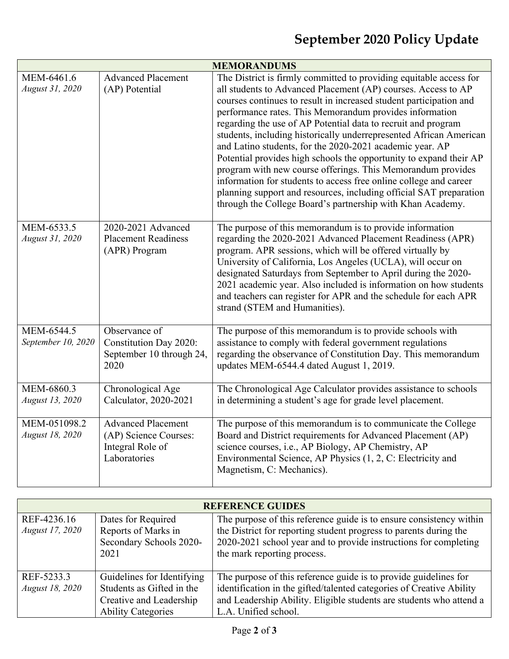| <b>MEMORANDUMS</b>               |                                                                                        |                                                                                                                                                                                                                                                                                                                                                                                                                                                                                                                                                                                                                                                                                                                                                                                                                       |  |  |
|----------------------------------|----------------------------------------------------------------------------------------|-----------------------------------------------------------------------------------------------------------------------------------------------------------------------------------------------------------------------------------------------------------------------------------------------------------------------------------------------------------------------------------------------------------------------------------------------------------------------------------------------------------------------------------------------------------------------------------------------------------------------------------------------------------------------------------------------------------------------------------------------------------------------------------------------------------------------|--|--|
| MEM-6461.6<br>August 31, 2020    | <b>Advanced Placement</b><br>(AP) Potential                                            | The District is firmly committed to providing equitable access for<br>all students to Advanced Placement (AP) courses. Access to AP<br>courses continues to result in increased student participation and<br>performance rates. This Memorandum provides information<br>regarding the use of AP Potential data to recruit and program<br>students, including historically underrepresented African American<br>and Latino students, for the 2020-2021 academic year. AP<br>Potential provides high schools the opportunity to expand their AP<br>program with new course offerings. This Memorandum provides<br>information for students to access free online college and career<br>planning support and resources, including official SAT preparation<br>through the College Board's partnership with Khan Academy. |  |  |
| MEM-6533.5<br>August 31, 2020    | 2020-2021 Advanced<br><b>Placement Readiness</b><br>(APR) Program                      | The purpose of this memorandum is to provide information<br>regarding the 2020-2021 Advanced Placement Readiness (APR)<br>program. APR sessions, which will be offered virtually by<br>University of California, Los Angeles (UCLA), will occur on<br>designated Saturdays from September to April during the 2020-<br>2021 academic year. Also included is information on how students<br>and teachers can register for APR and the schedule for each APR<br>strand (STEM and Humanities).                                                                                                                                                                                                                                                                                                                           |  |  |
| MEM-6544.5<br>September 10, 2020 | Observance of<br>Constitution Day 2020:<br>September 10 through 24,<br>2020            | The purpose of this memorandum is to provide schools with<br>assistance to comply with federal government regulations<br>regarding the observance of Constitution Day. This memorandum<br>updates MEM-6544.4 dated August 1, 2019.                                                                                                                                                                                                                                                                                                                                                                                                                                                                                                                                                                                    |  |  |
| MEM-6860.3<br>August 13, 2020    | Chronological Age<br>Calculator, 2020-2021                                             | The Chronological Age Calculator provides assistance to schools<br>in determining a student's age for grade level placement.                                                                                                                                                                                                                                                                                                                                                                                                                                                                                                                                                                                                                                                                                          |  |  |
| MEM-051098.2<br>August 18, 2020  | <b>Advanced Placement</b><br>(AP) Science Courses:<br>Integral Role of<br>Laboratories | The purpose of this memorandum is to communicate the College<br>Board and District requirements for Advanced Placement (AP)<br>science courses, i.e., AP Biology, AP Chemistry, AP<br>Environmental Science, AP Physics (1, 2, C: Electricity and<br>Magnetism, C: Mechanics).                                                                                                                                                                                                                                                                                                                                                                                                                                                                                                                                        |  |  |

| <b>REFERENCE GUIDES</b>        |                                           |                                                                                                                                          |  |  |
|--------------------------------|-------------------------------------------|------------------------------------------------------------------------------------------------------------------------------------------|--|--|
| REF-4236.16<br>August 17, 2020 | Dates for Required<br>Reports of Marks in | The purpose of this reference guide is to ensure consistency within<br>the District for reporting student progress to parents during the |  |  |
|                                | Secondary Schools 2020-<br>2021           | 2020-2021 school year and to provide instructions for completing<br>the mark reporting process.                                          |  |  |
| REF-5233.3                     | Guidelines for Identifying                | The purpose of this reference guide is to provide guidelines for                                                                         |  |  |
| August 18, 2020                | Students as Gifted in the                 | identification in the gifted/talented categories of Creative Ability                                                                     |  |  |
|                                | Creative and Leadership                   | and Leadership Ability. Eligible students are students who attend a                                                                      |  |  |
|                                | <b>Ability Categories</b>                 | L.A. Unified school.                                                                                                                     |  |  |